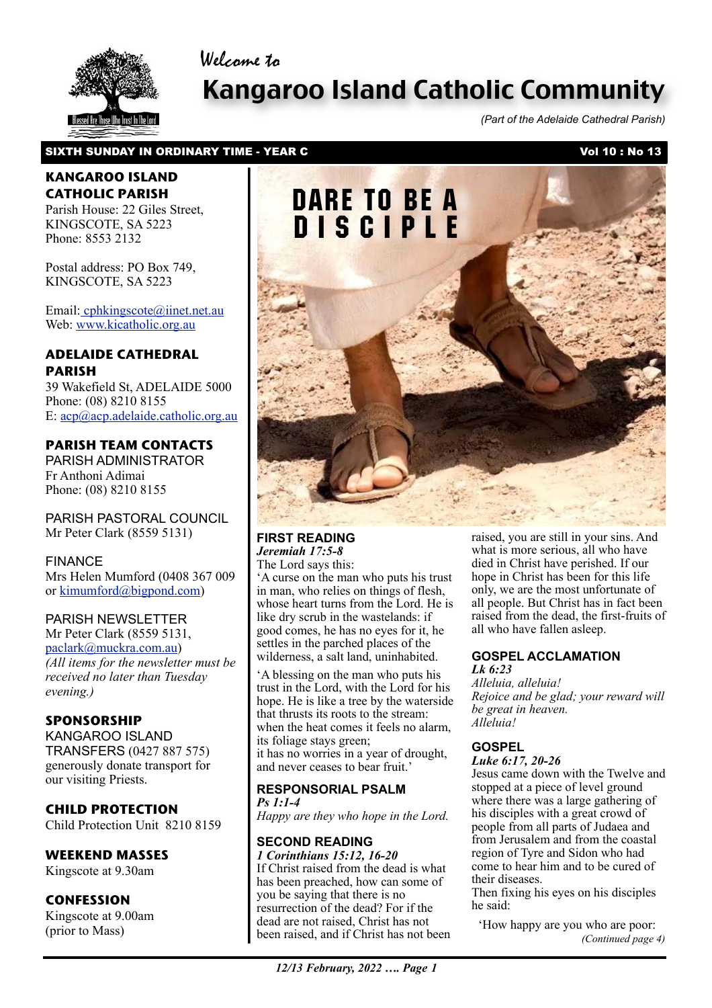## Welcome to



# Kangaroo Island Catholic Community

*(Part of the Adelaide Cathedral Parish)*

#### SIXTH SUNDAY IN ORDINARY TIME - YEAR C VOL 10 : No 13

#### **KANGAROO ISLAND CATHOLIC PARISH**

Parish House: 22 Giles Street, KINGSCOTE, SA 5223 Phone: 8553 2132

Postal address: PO Box 749, KINGSCOTE, SA 5223

Email[: cphkingscote@iinet.net.au](mailto:cphkingscote@iinet.net.au) Web: [www.kicatholic.org.au](http://www.kicatholic.org.au)

### **ADELAIDE CATHEDRAL PARISH**

39 Wakefield St, ADELAIDE 5000 Phone: (08) 8210 8155 E: [acp@acp.adelaide.catholic.org.au](mailto:?subject=)

### **PARISH TEAM CONTACTS**

PARISH ADMINISTRATOR Fr Anthoni Adimai Phone: (08) 8210 8155

PARISH PASTORAL COUNCIL Mr Peter Clark (8559 5131)

FINANCE Mrs Helen Mumford (0408 367 009 or [kimumford@bigpond.com\)](mailto:kimumford@bigpond.com)

#### PARISH NEWSLETTER

Mr Peter Clark (8559 5131, [paclark@muckra.com.au\)](mailto:paclark@muckra.com.au) *(All items for the newsletter must be received no later than Tuesday evening.)*

#### **SPONSORSHIP**

KANGAROO ISLAND TRANSFERS (0427 887 575) generously donate transport for our visiting Priests.

#### **CHILD PROTECTION**

Child Protection Unit 8210 8159

#### **WEEKEND MASSES**

Kingscote at 9.30am

#### **CONFESSION**

Kingscote at 9.00am (prior to Mass)



#### **FIRST READING** *Jeremiah 17:5-8*

The Lord says this:

'A curse on the man who puts his trust in man, who relies on things of flesh, whose heart turns from the Lord. He is like dry scrub in the wastelands: if good comes, he has no eyes for it, he settles in the parched places of the wilderness, a salt land, uninhabited.

'A blessing on the man who puts his trust in the Lord, with the Lord for his hope. He is like a tree by the waterside that thrusts its roots to the stream: when the heat comes it feels no alarm, its foliage stays green; it has no worries in a year of drought, and never ceases to bear fruit.'

## **RESPONSORIAL PSALM**

*Ps 1:1-4*

*Happy are they who hope in the Lord.*

## **SECOND READING**

 been raised, and if Christ has not been *1 Corinthians 15:12, 16-20* If Christ raised from the dead is what has been preached, how can some of you be saying that there is no resurrection of the dead? For if the dead are not raised, Christ has not

raised, you are still in your sins. And what is more serious, all who have died in Christ have perished. If our hope in Christ has been for this life only, we are the most unfortunate of all people. But Christ has in fact been raised from the dead, the first-fruits of all who have fallen asleep.

## **GOSPEL ACCLAMATION**

*Lk 6:23*

*Alleluia, alleluia! Rejoice and be glad; your reward will be great in heaven. Alleluia!*

#### **GOSPEL**

*Luke 6:17, 20-26*

Jesus came down with the Twelve and stopped at a piece of level ground where there was a large gathering of his disciples with a great crowd of people from all parts of Judaea and from Jerusalem and from the coastal region of Tyre and Sidon who had come to hear him and to be cured of their diseases.

Then fixing his eyes on his disciples he said:

'How happy are you who are poor: *(Continued page 4)*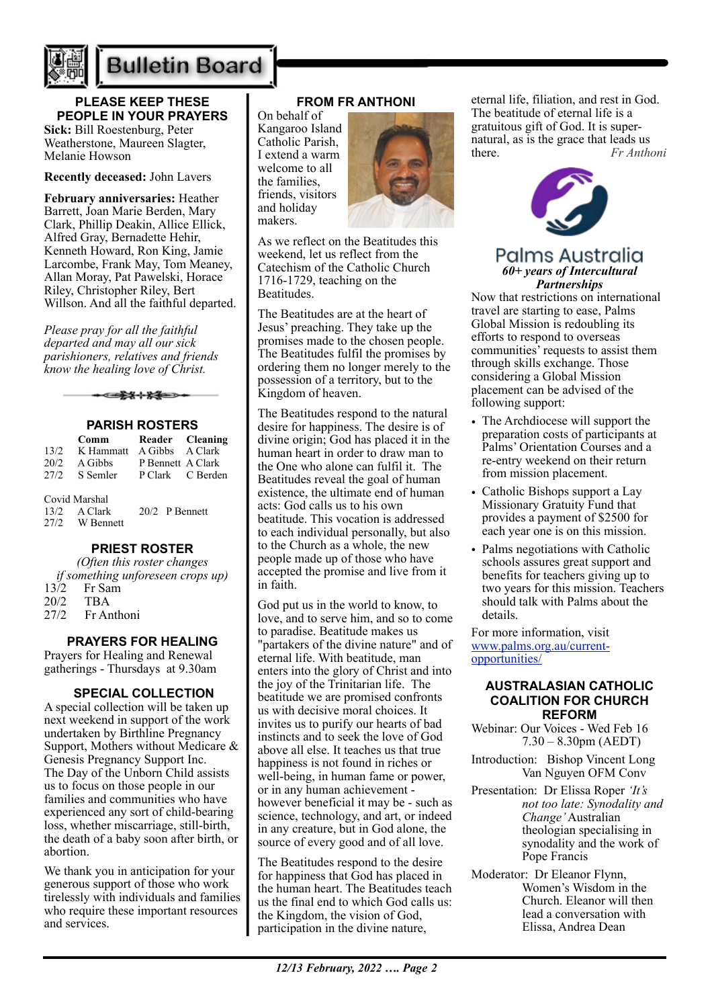

## **Bulletin Board**

#### **PLEASE KEEP THESE PEOPLE IN YOUR PRAYERS**

**Sick:** Bill Roestenburg, Peter Weatherstone, Maureen Slagter, Melanie Howson

**Recently deceased:** John Lavers

**February anniversaries:** Heather Barrett, Joan Marie Berden, Mary Clark, Phillip Deakin, Allice Ellick, Alfred Gray, Bernadette Hehir, Kenneth Howard, Ron King, Jamie Larcombe, Frank May, Tom Meaney, Allan Moray, Pat Pawelski, Horace Riley, Christopher Riley, Bert Willson. And all the faithful departed.

*Please pray for all the faithful departed and may all our sick parishioners, relatives and friends know the healing love of Christ.*



#### **PARISH ROSTERS**

|                                 | Comm           |                   | Reader Cleaning |
|---------------------------------|----------------|-------------------|-----------------|
| 13/2                            | K Hammatt      | A Gibbs A Clark   |                 |
|                                 | $20/2$ A Gibbs | P Bennett A Clark |                 |
| 27/2                            | S Semler       | P Clark C Berden  |                 |
| Covid Marshal<br>$13/2$ A Clark |                | 20/2 P Bennett    |                 |
|                                 | 27/2 W Bennett |                   |                 |

#### **PRIEST ROSTER**

*(Often this roster changes if something unforeseen crops up)* Fr Sam 20/2 TBA 27/2 Fr Anthoni

#### **PRAYERS FOR HEALING**

Prayers for Healing and Renewal gatherings - Thursdays at 9.30am

#### **SPECIAL COLLECTION**

A special collection will be taken up next weekend in support of the work undertaken by Birthline Pregnancy Support, Mothers without Medicare & Genesis Pregnancy Support Inc. The Day of the Unborn Child assists us to focus on those people in our families and communities who have experienced any sort of child-bearing loss, whether miscarriage, still-birth, the death of a baby soon after birth, or abortion.

We thank you in anticipation for your generous support of those who work tirelessly with individuals and families who require these important resources and services.

#### **FROM FR ANTHONI**

On behalf of Kangaroo Island Catholic Parish, I extend a warm welcome to all the families, friends, visitors and holiday makers.



As we reflect on the Beatitudes this weekend, let us reflect from the Catechism of the Catholic Church 1716-1729, teaching on the Beatitudes.

The Beatitudes are at the heart of Jesus' preaching. They take up the promises made to the chosen people. The Beatitudes fulfil the promises by ordering them no longer merely to the possession of a territory, but to the Kingdom of heaven.

The Beatitudes respond to the natural desire for happiness. The desire is of divine origin; God has placed it in the human heart in order to draw man to the One who alone can fulfil it. The Beatitudes reveal the goal of human existence, the ultimate end of human acts: God calls us to his own beatitude. This vocation is addressed to each individual personally, but also to the Church as a whole, the new people made up of those who have accepted the promise and live from it in faith.

God put us in the world to know, to love, and to serve him, and so to come to paradise. Beatitude makes us "partakers of the divine nature" and of eternal life. With beatitude, man enters into the glory of Christ and into the joy of the Trinitarian life. The beatitude we are promised confronts us with decisive moral choices. It invites us to purify our hearts of bad instincts and to seek the love of God above all else. It teaches us that true happiness is not found in riches or well-being, in human fame or power, or in any human achievement however beneficial it may be - such as science, technology, and art, or indeed in any creature, but in God alone, the source of every good and of all love.

The Beatitudes respond to the desire for happiness that God has placed in the human heart. The Beatitudes teach us the final end to which God calls us: the Kingdom, the vision of God, participation in the divine nature,

eternal life, filiation, and rest in God. The beatitude of eternal life is a gratuitous gift of God. It is supernatural, as is the grace that leads us there. *Fr Anthoni*



#### Palms Australia *60+ years of Intercultural Partnerships*

Now that restrictions on international travel are starting to ease, Palms Global Mission is redoubling its efforts to respond to overseas communities' requests to assist them through skills exchange. Those considering a Global Mission placement can be advised of the following support:

- The Archdiocese will support the preparation costs of participants at Palms' Orientation Courses and a re-entry weekend on their return from mission placement.
- Catholic Bishops support a Lay Missionary Gratuity Fund that provides a payment of \$2500 for each year one is on this mission.
- Palms negotiations with Catholic schools assures great support and benefits for teachers giving up to two years for this mission. Teachers should talk with Palms about the details.

For more information, visit [www.palms.org.au/current](https://aus01.safelinks.protection.outlook.com/?url=http://www.palms.org.au/current-opportunities/&data=04%7C01%7CMBennier@adelaide.catholic.org.au%7Cf7245266b9eb4e44bec308d9ea9e0198%7Cfe51d108d61d407cbcaaaab5af82a7ac%7C1%7C0%7C637798786612003053%7CUnknown%7CTWFpbGZsb3d8eyJWIjoiMC4wLjAwMDAiLCJQIjoiV2luMzIiLCJBTiI6Ik1haWwiLCJXVCI6Mn0=%7C3000&sdata=cqbqURVshtilgQaRGRpmoZMfZnUi3DBCOjxNPbGqJUg=&reserved=0)[opportunities/](https://aus01.safelinks.protection.outlook.com/?url=http://www.palms.org.au/current-opportunities/&data=04%7C01%7CMBennier@adelaide.catholic.org.au%7Cf7245266b9eb4e44bec308d9ea9e0198%7Cfe51d108d61d407cbcaaaab5af82a7ac%7C1%7C0%7C637798786612003053%7CUnknown%7CTWFpbGZsb3d8eyJWIjoiMC4wLjAwMDAiLCJQIjoiV2luMzIiLCJBTiI6Ik1haWwiLCJXVCI6Mn0=%7C3000&sdata=cqbqURVshtilgQaRGRpmoZMfZnUi3DBCOjxNPbGqJUg=&reserved=0)

#### **AUSTRALASIAN CATHOLIC COALITION FOR CHURCH REFORM**

- Webinar: Our Voices Wed Feb 16 7.30 – 8.30pm (AEDT)
- Introduction: Bishop Vincent Long Van Nguyen OFM Conv
- Presentation: Dr Elissa Roper *'It's not too late: Synodality and Change'* Australian theologian specialising in synodality and the work of Pope Francis
- Moderator: Dr Eleanor Flynn, Women's Wisdom in the Church. Eleanor will then lead a conversation with Elissa, Andrea Dean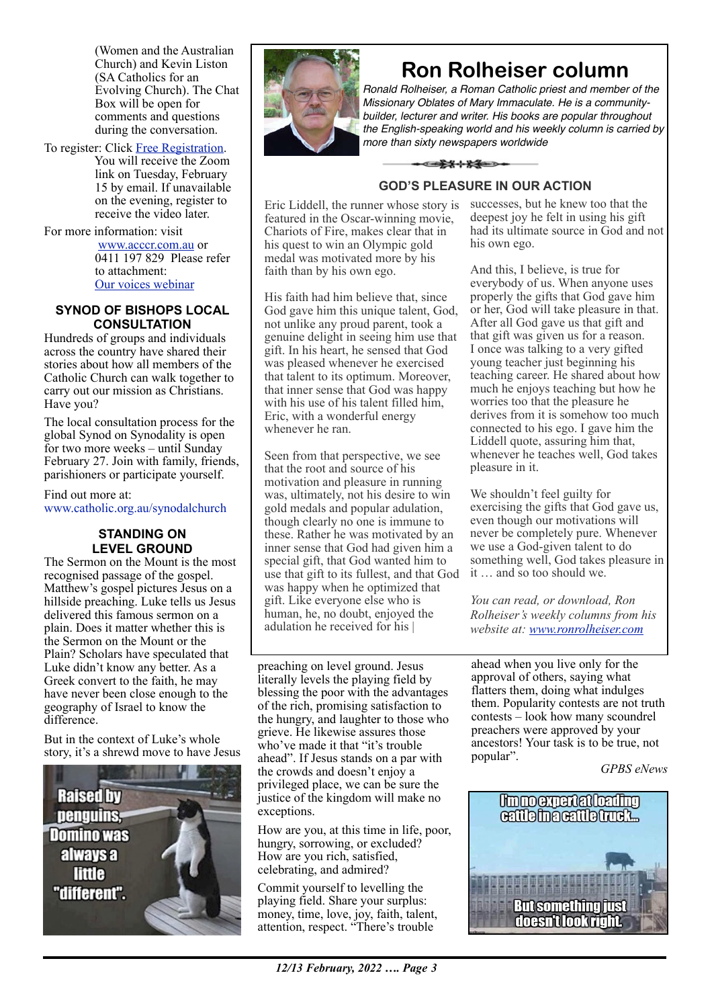(Women and the Australian Church) and Kevin Liston (SA Catholics for an Evolving Church). The Chat Box will be open for comments and questions during the conversation.

To register: Click [Free Registration.](https://aus01.safelinks.protection.outlook.com/?url=https%253A%252F%252Fgarratt1.wufoo.com%252Fforms%252Fmct8s660p8kf0v%252F&data=04%257C01%257Ccco-reception%2540adelaide.catholic.org.au%257C7c179bdd0b68489fc9a608d9e6f4cab8%257Cfe51d108d61d407cbcaaaab5af82a7ac%257C1%257C0%257C637794761369753007%257CUnknown%257CTWFpbGZsb3d8eyJWIjoiMC4wLjAwMDAiLCJQIjoiV2luMzIiLCJBTiI6Ik1haWwiLCJXVCI6Mn0%253D%257C3000&sdata=pla2VN9MBwOn31Uq4DYCW3BouTYIkIIJa%252Bb7LiHqGJc%253D&reserved=0) You will receive the Zoom link on Tuesday, February 15 by email. If unavailable on the evening, register to receive the video later.

For more information: visit [www.acccr.com.au](https://aus01.safelinks.protection.outlook.com/?url=http%253A%252F%252Fwww.acccr.com.au%252F&data=04%257C01%257Ccco-reception%2540adelaide.catholic.org.au%257C7c179bdd0b68489fc9a608d9e6f4cab8%257Cfe51d108d61d407cbcaaaab5af82a7ac%257C1%257C0%257C637794761369753007%257CUnknown%257CTWFpbGZsb3d8eyJWIjoiMC4wLjAwMDAiLCJQIjoiV2luMzIiLCJBTiI6Ik1haWwiLCJXVCI6Mn0%253D%257C3000&sdata=2ZWGvQTtPBB4AdCva5rUMcSPwrK%252Bto9318czTEBpHYM%253D&reserved=0) or 0411 197 829 Please refer to attachment: [Our voices webinar](https://adelaide.catholic.org.au/__files/f/108206/3.220207%2520Our%2520Voices%2520webinar.pdf)

#### **SYNOD OF BISHOPS LOCAL CONSULTATION**

Hundreds of groups and individuals across the country have shared their stories about how all members of the Catholic Church can walk together to carry out our mission as Christians. Have you?

The local consultation process for the global Synod on Synodality is open for two more weeks – until Sunday February 27. Join with family, friends, parishioners or participate yourself.

Find out more at: [www.catholic.org.au/synodalchurch](http://www.catholic.org.au/synodalchurch)

#### **STANDING ON LEVEL GROUND**

The Sermon on the Mount is the most recognised passage of the gospel. Matthew's gospel pictures Jesus on a hillside preaching. Luke tells us Jesus delivered this famous sermon on a plain. Does it matter whether this is the Sermon on the Mount or the Plain? Scholars have speculated that Luke didn't know any better. As a Greek convert to the faith, he may have never been close enough to the geography of Israel to know the difference

But in the context of Luke's whole story, it's a shrewd move to have Jesus





## **Ron Rolheiser column**

*Ronald Rolheiser, a Roman Catholic priest and member of the Missionary Oblates of Mary Immaculate. He is a communitybuilder, lecturer and writer. His books are popular throughout the English-speaking world and his weekly column is carried by more than sixty newspapers worldwide*

▅<del>▓</del>⊹¥<del>▓</del>═∽

#### **GOD'S PLEASURE IN OUR ACTION**

Eric Liddell, the runner whose story is successes, but he knew too that the featured in the Oscar-winning movie, Chariots of Fire, makes clear that in his quest to win an Olympic gold medal was motivated more by his faith than by his own ego.

His faith had him believe that, since God gave him this unique talent, God, not unlike any proud parent, took a genuine delight in seeing him use that gift. In his heart, he sensed that God was pleased whenever he exercised that talent to its optimum. Moreover, that inner sense that God was happy with his use of his talent filled him, Eric, with a wonderful energy whenever he ran.

Seen from that perspective, we see that the root and source of his motivation and pleasure in running was, ultimately, not his desire to win gold medals and popular adulation, though clearly no one is immune to these. Rather he was motivated by an inner sense that God had given him a special gift, that God wanted him to use that gift to its fullest, and that God it … and so too should we. was happy when he optimized that gift. Like everyone else who is human, he, no doubt, enjoyed the adulation he received for his |

preaching on level ground. Jesus literally levels the playing field by blessing the poor with the advantages of the rich, promising satisfaction to the hungry, and laughter to those who grieve. He likewise assures those who've made it that "it's trouble" ahead". If Jesus stands on a par with the crowds and doesn't enjoy a privileged place, we can be sure the justice of the kingdom will make no exceptions.

How are you, at this time in life, poor, hungry, sorrowing, or excluded? How are you rich, satisfied, celebrating, and admired?

Commit yourself to levelling the playing field. Share your surplus: money, time, love, joy, faith, talent, attention, respect. "There's trouble

deepest joy he felt in using his gift had its ultimate source in God and not his own ego.

And this, I believe, is true for everybody of us. When anyone uses properly the gifts that God gave him or her, God will take pleasure in that. After all God gave us that gift and that gift was given us for a reason. I once was talking to a very gifted young teacher just beginning his teaching career. He shared about how much he enjoys teaching but how he worries too that the pleasure he derives from it is somehow too much connected to his ego. I gave him the Liddell quote, assuring him that, whenever he teaches well, God takes pleasure in it.

We shouldn't feel guilty for exercising the gifts that God gave us, even though our motivations will never be completely pure. Whenever we use a God-given talent to do something well, God takes pleasure in

*You can read, or download, Ron Rolheiser's weekly columns from his website at: www.ronrolheiser.com*

ahead when you live only for the approval of others, saying what flatters them, doing what indulges them. Popularity contests are not truth contests – look how many scoundrel preachers were approved by your ancestors! Your task is to be true, not popular".

#### *GPBS eNews*